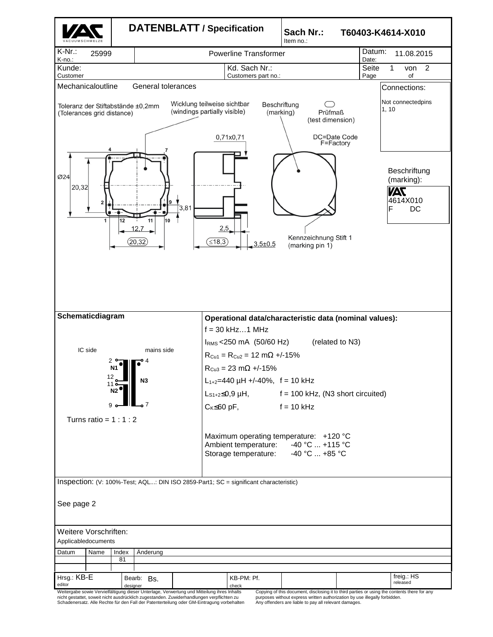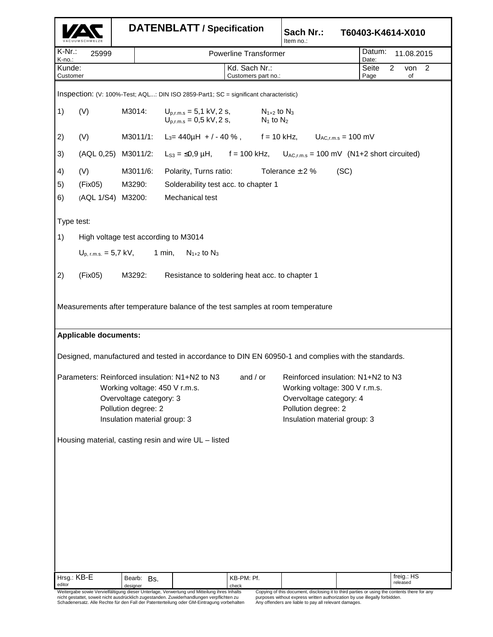|                                                                                                                                                                                                                                                                                                                                  |                                                                                             | <b>DATENBLATT / Specification</b> |                                                                                              |                                      | Sach Nr.:<br>Item no.:      | T60403-K4614-X010                                                                                                      |  |
|----------------------------------------------------------------------------------------------------------------------------------------------------------------------------------------------------------------------------------------------------------------------------------------------------------------------------------|---------------------------------------------------------------------------------------------|-----------------------------------|----------------------------------------------------------------------------------------------|--------------------------------------|-----------------------------|------------------------------------------------------------------------------------------------------------------------|--|
| K-Nr.:<br>K-no.:                                                                                                                                                                                                                                                                                                                 | 25999                                                                                       |                                   |                                                                                              | <b>Powerline Transformer</b>         |                             | Datum:<br>11.08.2015<br>Date:                                                                                          |  |
| Kunde:<br>Customer                                                                                                                                                                                                                                                                                                               |                                                                                             |                                   |                                                                                              | Kd. Sach Nr.:<br>Customers part no.: |                             | 2<br>von <sub>2</sub><br>Seite<br>Page<br>of                                                                           |  |
| Inspection: (V: 100%-Test; AQL: DIN ISO 2859-Part1; SC = significant characteristic)                                                                                                                                                                                                                                             |                                                                                             |                                   |                                                                                              |                                      |                             |                                                                                                                        |  |
| 1)                                                                                                                                                                                                                                                                                                                               | (V)                                                                                         | M3014:                            | $U_{p,r,m,s} = 5.1 \text{ kV}, 2 \text{ s},$<br>$U_{p,r,m,s} = 0.5 \text{ kV}, 2 \text{ s},$ | $N_{1+2}$ to $N_3$<br>$N_1$ to $N_2$ |                             |                                                                                                                        |  |
| 2)                                                                                                                                                                                                                                                                                                                               | (V)                                                                                         | M3011/1:                          | L <sub>3</sub> = 440 $\mu$ H + / - 40 %, f = 10 kHz, U <sub>AC,r.m.s</sub> = 100 mV          |                                      |                             |                                                                                                                        |  |
| 3)                                                                                                                                                                                                                                                                                                                               |                                                                                             | (AQL 0,25) M3011/2:               | $L_{S3} = \le 0.9 \mu H$ , f = 100 kHz,<br>$U_{AC,r.m.s}$ = 100 mV (N1+2 short circuited)    |                                      |                             |                                                                                                                        |  |
| 4)                                                                                                                                                                                                                                                                                                                               | (V)                                                                                         | M3011/6:                          | Polarity, Turns ratio:                                                                       |                                      | Tolerance $\pm$ 2 %<br>(SC) |                                                                                                                        |  |
| 5)                                                                                                                                                                                                                                                                                                                               | (Fix05)                                                                                     | M3290:                            | Solderability test acc. to chapter 1                                                         |                                      |                             |                                                                                                                        |  |
| 6)                                                                                                                                                                                                                                                                                                                               | (AQL 1/S4) M3200:                                                                           |                                   | Mechanical test                                                                              |                                      |                             |                                                                                                                        |  |
| Type test:                                                                                                                                                                                                                                                                                                                       |                                                                                             |                                   |                                                                                              |                                      |                             |                                                                                                                        |  |
| 1)                                                                                                                                                                                                                                                                                                                               | High voltage test according to M3014<br>$U_{p, r.m.s.} = 5.7$ kV, 1 min, $N_{1+2}$ to $N_3$ |                                   |                                                                                              |                                      |                             |                                                                                                                        |  |
|                                                                                                                                                                                                                                                                                                                                  |                                                                                             |                                   |                                                                                              |                                      |                             |                                                                                                                        |  |
| 2)                                                                                                                                                                                                                                                                                                                               | (Fix05)                                                                                     | M3292:                            | Resistance to soldering heat acc. to chapter 1                                               |                                      |                             |                                                                                                                        |  |
| <b>Applicable documents:</b><br>Designed, manufactured and tested in accordance to DIN EN 60950-1 and complies with the standards.                                                                                                                                                                                               |                                                                                             |                                   |                                                                                              |                                      |                             |                                                                                                                        |  |
| Parameters: Reinforced insulation: N1+N2 to N3 and / or Reinforced insulation: N1+N2 to N3<br>Working voltage: 450 V r.m.s.<br>Working voltage: 300 V r.m.s.<br>Overvoltage category: 3<br>Overvoltage category: 4<br>Pollution degree: 2<br>Pollution degree: 2<br>Insulation material group: 3<br>Insulation material group: 3 |                                                                                             |                                   |                                                                                              |                                      |                             |                                                                                                                        |  |
|                                                                                                                                                                                                                                                                                                                                  |                                                                                             |                                   | Housing material, casting resin and wire UL - listed                                         |                                      |                             |                                                                                                                        |  |
| Hrsg.: KB-E<br>editor                                                                                                                                                                                                                                                                                                            |                                                                                             | Bearb: Bs.<br>designer            | Weitergabe sowie Vervielfältigung dieser Unterlage, Verwertung und Mitteilung ihres Inhalts  | KB-PM: Pf.<br>check                  |                             | freig.: HS<br>released<br>Copying of this document, disclosing it to third parties or using the contents there for any |  |

Weitergabe sowie Vervielfältigung dieser Unterlage, Verwertung und Mitteilung ihres Inhalts<br>nicht gestattet, soweit nicht ausdrücklich zugestanden. Zuwiderhandlungen verpflichten zu<br>Schadenersatz. Alle Rechte für den Fall

Copying of this document, disclosing it to third parties or using the contents there for any<br>purposes without express written authorization by use illegally forbidden.<br>Any offenders are liable to pay all relevant damages.